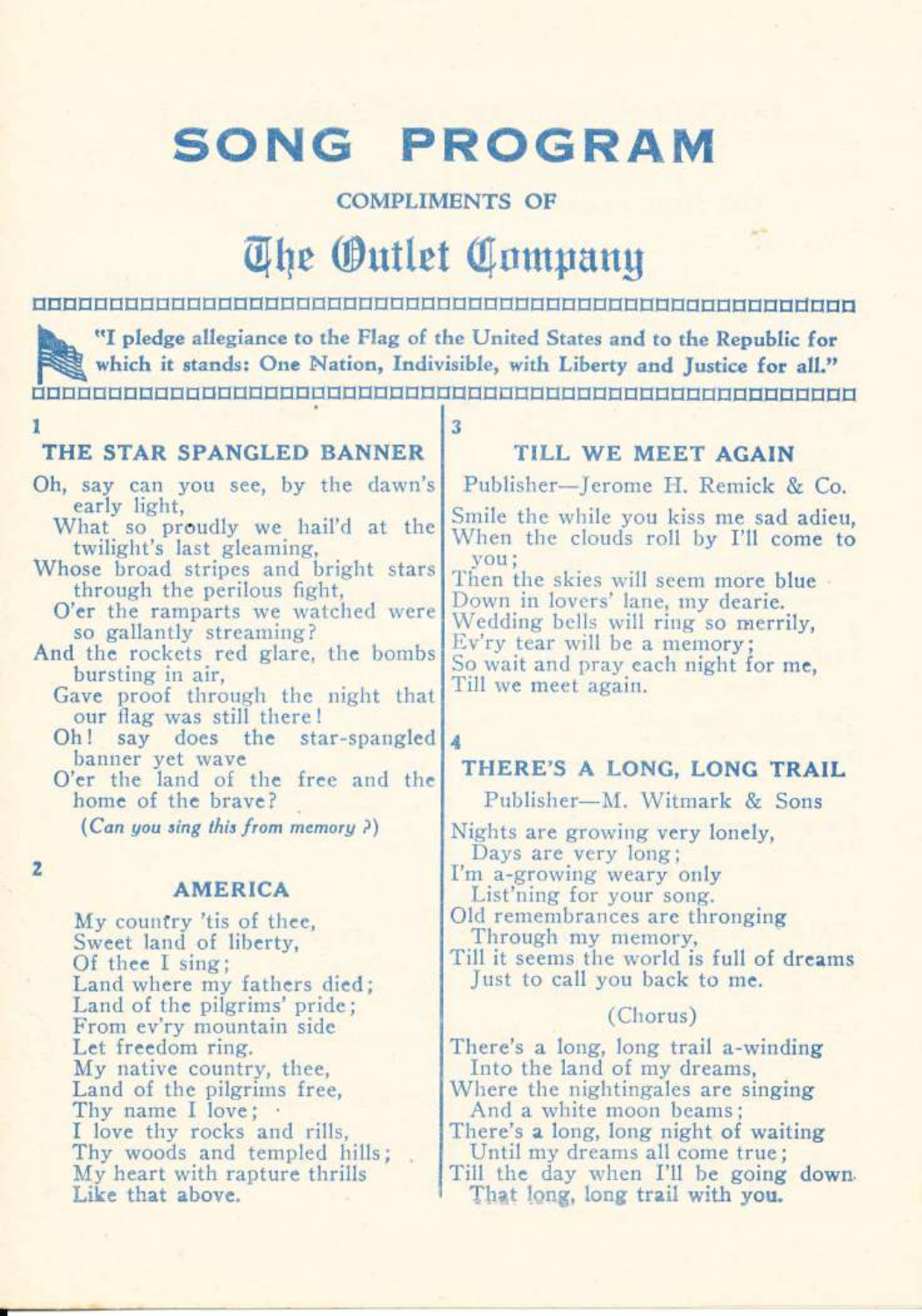# SONG PROGRAM

### COMPLIMENTS OF

# The Outlet Company

tr trE tr tr tr tr tr tr E tr tr tr tr E tr tr tr tr tr tr tr tr tr tr tr tr T1 tr tr tr E tr tr E tr tr tr tr tr tr tr tr EI I1 E T] T1 II EI 11 E tr

"I pledge allegiance to the Flag of the United States and to the Republic for which it stands: One Nation, Indivisible, with Liberty and Justice for all." tr tr E III in de III in de III in de III etre Kristiaanske troch de India etre tre tre EE N E II E tre tre tr

3

4

#### t

#### THE STAR SPANGLED BANNER

- Oh, say can you see, by the dawn's early light,
	- What so proudly we hail'd at the
- twilight's last gleaming, Whose broad stripes and bright stars through the perilous fight,
	- O'er the ramparts we watched were so gallantly streaming ?
- And the rockets red glare, the bombs bursting in air,
	- Gave proof through the night that our flag was still there !
	- Oh! say does the star-spangled banner yet wave
	- O'er the land of the free and the home of the brave?

(Can gou sing this from memorg ?)

2

#### .AMERICA

My country 'tis of thee, Sweet land of liberty, Of thee I sing ; Land where my fathers died; Land of the pilgrims' pride; From ev'ry mountain side Let freedom ring. My native country, thee, Land of the pilgrims free,<br>Thy name I love; I love thy rocks and rills, Thy woods and templed hills; My heart with rapture thrills Like that above.

#### TILL WE MEET AGAIN

Publisher-Jerome H. Remick & Co.

Smile the while you kiss me sad adieu, When the clouds roll by I'll come to you;

Then the skies will seem more blue -Down in lovers' lane, my dearie. Wedding bells will ring so merrily, Ev'ry tear will be a memory; So wait and pray each night for me, Till we meet again.

#### THERE'S A LONG, LONG TRAIL

#### Publisher-M. Witmark & Sons

Nights are growing very lonely, Days are very long; I'm a-growing weary only

List'ning for your song.

Old remembrances are thronging Through my memory,

Till it seems the world is full of dreams Just to call you back to me.

### (Chorus)

There's a long, long trail a-winding Into the land of my dreams, Where the nightingales are singing And a white moon beams;

- There's a long, long night of waiting<br>Until my dreams all come true:
- Until my dreams all come true; Till the day when I'll be going down. That long, long trail with you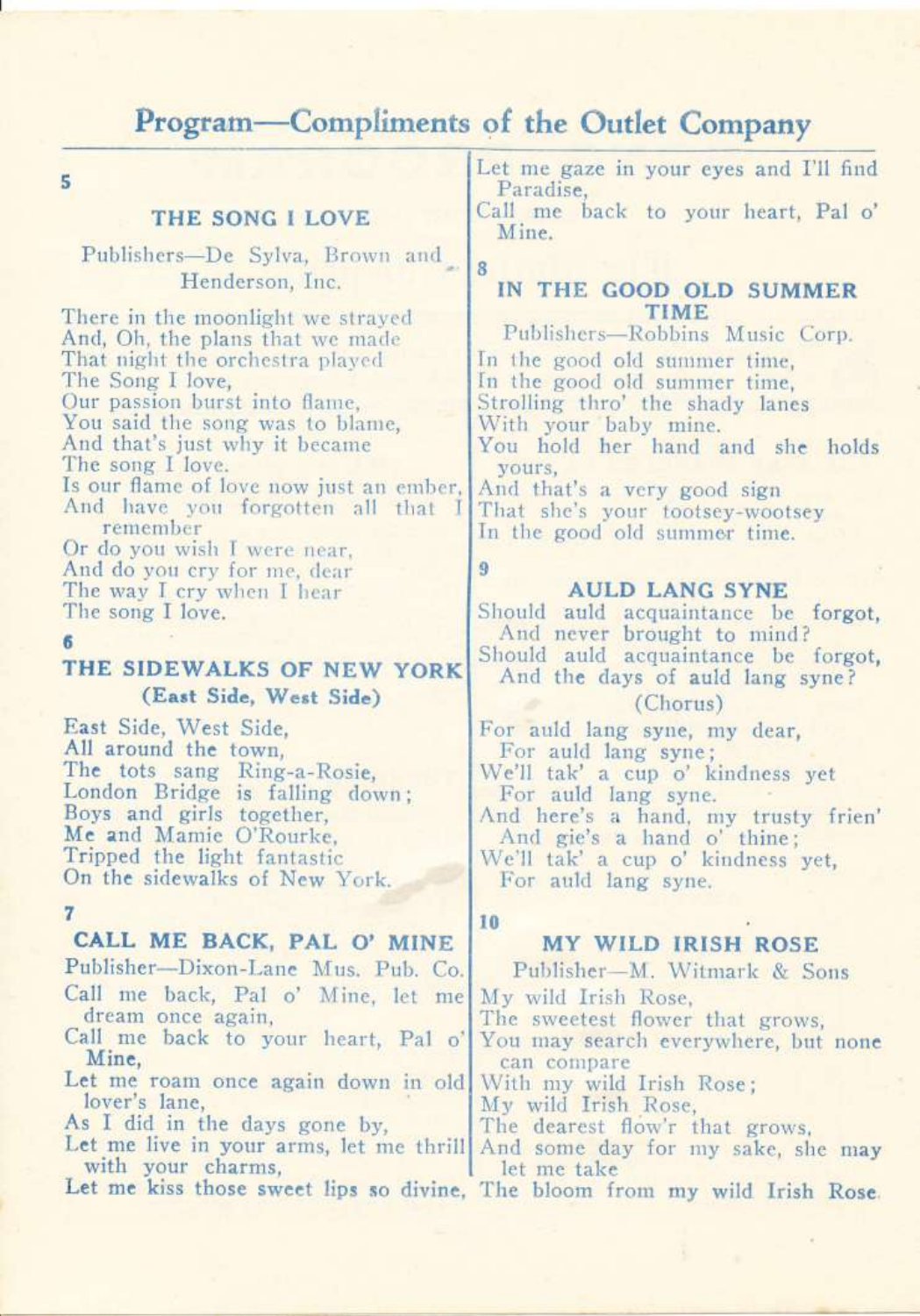# Program-Compliments of the Outlet Company

| 5                                                                                                                                                                                                                                                                                                                                                                                                                                                                                                                                                                                                                                                                                                                                                              | Let me gaze in your eyes and I'll find<br>Paradise,                                                                                                                                                                                                                                                                                                                                                                                                                                                                                                                                                                                                                                                                                                                 |
|----------------------------------------------------------------------------------------------------------------------------------------------------------------------------------------------------------------------------------------------------------------------------------------------------------------------------------------------------------------------------------------------------------------------------------------------------------------------------------------------------------------------------------------------------------------------------------------------------------------------------------------------------------------------------------------------------------------------------------------------------------------|---------------------------------------------------------------------------------------------------------------------------------------------------------------------------------------------------------------------------------------------------------------------------------------------------------------------------------------------------------------------------------------------------------------------------------------------------------------------------------------------------------------------------------------------------------------------------------------------------------------------------------------------------------------------------------------------------------------------------------------------------------------------|
| THE SONG I LOVE                                                                                                                                                                                                                                                                                                                                                                                                                                                                                                                                                                                                                                                                                                                                                | Call me back to your heart, Pal o'<br>Mine.                                                                                                                                                                                                                                                                                                                                                                                                                                                                                                                                                                                                                                                                                                                         |
| Publishers-De Sylva, Brown and<br>Henderson, Inc.                                                                                                                                                                                                                                                                                                                                                                                                                                                                                                                                                                                                                                                                                                              | 8<br>IN THE GOOD OLD SUMMER                                                                                                                                                                                                                                                                                                                                                                                                                                                                                                                                                                                                                                                                                                                                         |
| There in the moonlight we strayed<br>And, Oh, the plans that we made<br>That night the orchestra played<br>The Song I love,<br>Our passion burst into flame,<br>You said the song was to blame,<br>And that's just why it became<br>The song I love.<br>Is our flame of love now just an ember,<br>And have you forgotten all that I<br>remember<br>Or do you wish I were near.<br>And do you cry for me, dear<br>The way I cry when I hear<br>The song I love.<br>THE SIDEWALKS OF NEW YORK<br>(East Side, West Side)<br>East Side, West Side.<br>All around the town,<br>The tots sang Ring-a-Rosie,<br>London Bridge is falling down;<br>Boys and girls together,<br>Me and Mamie O'Rourke,<br>Tripped the light fantastic<br>On the sidewalks of New York. | <b>TIME</b><br>Publishers-Robbins Music Corp.<br>In the good old summer time.<br>In the good old summer time,<br>Strolling thro' the shady lanes<br>With your baby mine.<br>You hold her hand and she holds<br>vours.<br>And that's a very good sign<br>That she's your tootsey-wootsey<br>In the good old summer time.<br>9<br><b>AULD LANG SYNE</b><br>Should auld acquaintance be forgot,<br>And never brought to mind?<br>Should auld acquaintance be forgot,<br>And the days of auld lang syne?<br>(Chorus)<br>For auld lang syne, my dear,<br>For auld lang syne;<br>We'll tak' a cup o' kindness yet<br>For auld lang syne.<br>And here's a hand, my trusty frien'<br>And gie's a hand o' thine;<br>We'll tak' a cup o' kindness yet,<br>For auld lang syne. |
| 7                                                                                                                                                                                                                                                                                                                                                                                                                                                                                                                                                                                                                                                                                                                                                              | 10                                                                                                                                                                                                                                                                                                                                                                                                                                                                                                                                                                                                                                                                                                                                                                  |
| CALL ME BACK, PAL O' MINE<br>Publisher-Dixon-Lane Mus. Pub. Co.<br>Call me back, Pal o' Mine, let me<br>dream once again,<br>Call me back to your heart, Pal o'<br>Mine,<br>Let me roam once again down in old<br>lover's lane,<br>As I did in the days gone by,<br>Let me live in your arms, let me thrill<br>with your charms,                                                                                                                                                                                                                                                                                                                                                                                                                               | <b>MY WILD IRISH ROSE</b><br>Publisher-M. Witmark & Sons<br>My wild Irish Rose,<br>The sweetest flower that grows,<br>You may search everywhere, but none<br>can compare<br>With my wild Irish Rose;<br>My wild Irish Rose,<br>The dearest flow'r that grows,<br>And some day for my sake, she may<br>let me take                                                                                                                                                                                                                                                                                                                                                                                                                                                   |

with your charms,<br>Let me kiss those sweet lips so divine, The bloom from my wild Irish Rose.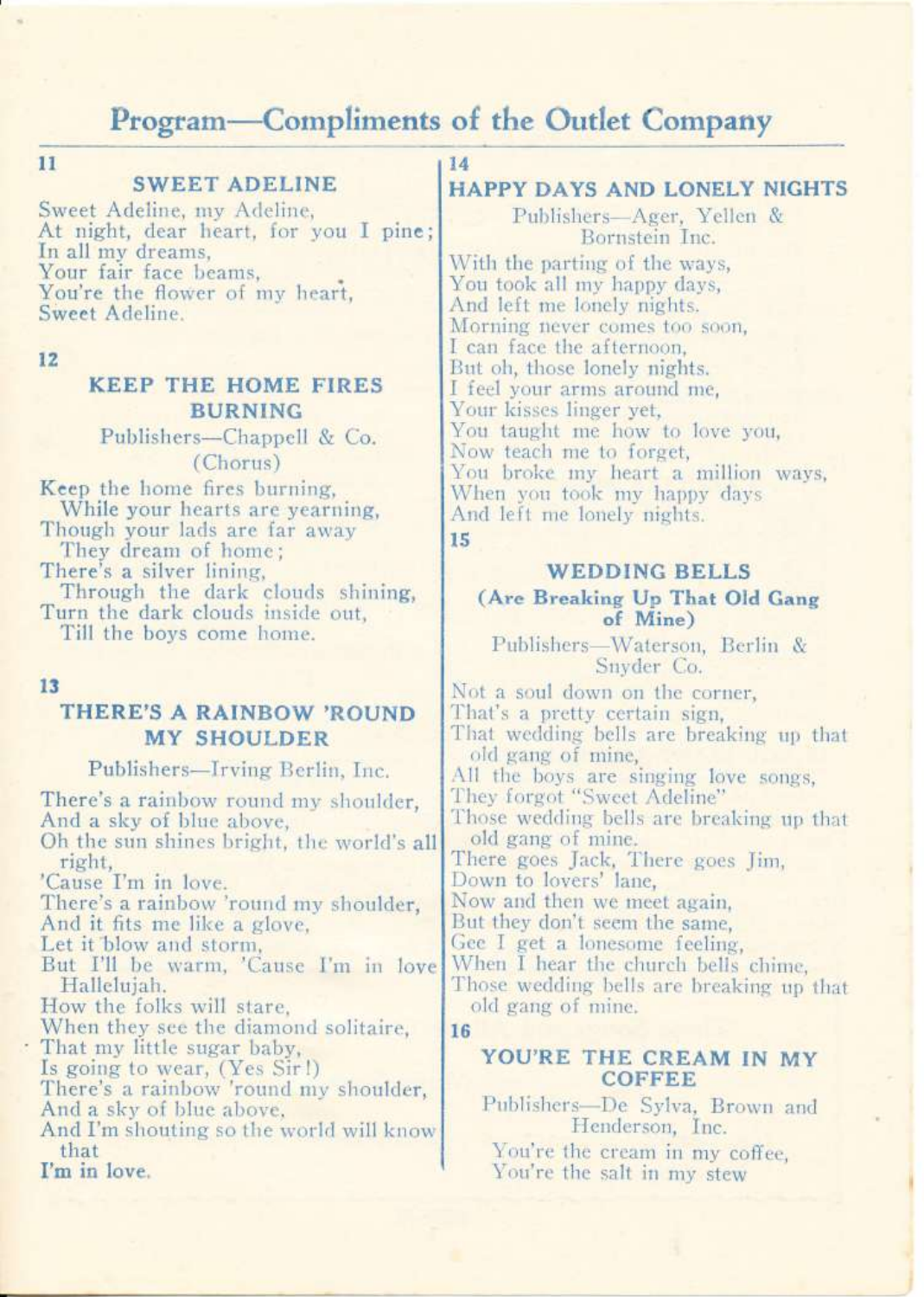# Program-Compliments of the Outlet Company

1<sub>1</sub>

**SWEET ADELINE**<br>Sweet Adeline, my Adeline, At night, dear heart, for you I pine; In all my dreams, Your fair face beams, You're the flower of my heart, Sweet Adeline.

#### t2

### **KEEP THE HOME FIRES BURNING**

Publishers-Chappell & Co. (Chorus)

Keep the home fires burning, While your hearts are yearning, Though your lads are far away They dream of home: There's a silver lining,

Through the dark clouds shining, Turn the dark clouds inside out,

Till the boys come home.

#### 13

### THERE'S A RAINBOW 'ROUND MY SHOULDER

Publishers-Irving Berlin, Inc.

There's a rainbow round my shoulder, And a sky of blue above, Oh the sun shines bright, the world's all right, 'Cause I'm in love. There's a rainbow 'round my shoulder, And it fits me like a glove, Let it'blow and storm, But I'll be warm, 'Cause I'm in love Halle1ujah. How the folks will stare, When they see the diamond solitaire, That my little sugar baby, Is going to wear, (Yes Sir !) There's a rainbow 'round my shoulder, And a sky of blue above, And I'm shouting so the world will know that I'm in love.

#### t4

### FIAPPY DAYS AND LONELY NIGHTS

Publishers-Ager, Yellen & Bornstein Inc.

With the parting of the ways, You took all my happy days, And left me lonely nights. Morning never comes too soon, I can face the afternoon, But oh, those lonely nights. I feel your arms around me, Your kisses linger yet, You taught me how to love you, Now teach me to forget, You broke rny heart a million ways, When you took my happy days And left me lonely nights.

r5

#### WEDDING BELLS (Are Breaking Up That Old Gang of Mine)

Publishers-Waterson, Berlin & Snyder Co.

Not a soul down on the corner, That's a pretty certain sign, That wedding bells are breaking up that old gang of mine, A11 the boys are singing love songs, They forgot "Sweet Adeline" Those wedding bells are breaking up that old gang of mine. There goes Jack, There goes Jim,<br>Down to lovers' lane, Now and then we meet again, But they don't seem the same, Gee I get a lonesome feeling, When I hear the church bells chime, Those wedding bells are breaking up that old gang of mine. t6

#### YOU'RE THE CREAM IN MY **COFFEE**

Publishers-De Sylva, Brown and

You're the cream in my coffee, You're the salt in my stew